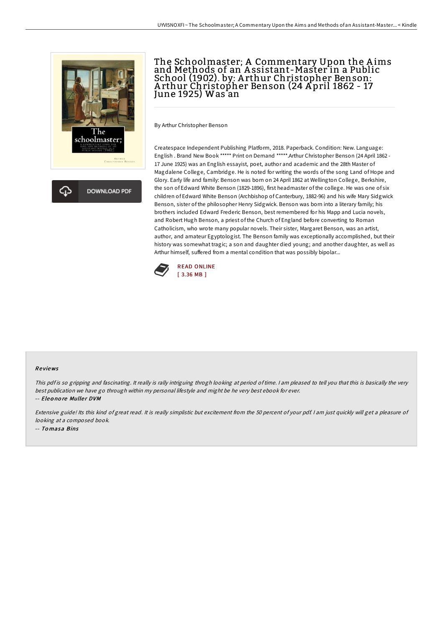

**DOWNLOAD PDF** 

## The Schoolmaster; A Commentary Upon the Aims and Methods of an A ssistant-Master in a Public School (1902). by: A rthur Christopher Benson: A rthur Christopher Benson (24 A pril 1862 - 17 June 1925) Was`an

By Arthur Christopher Benson

Createspace Independent Publishing Platform, 2018. Paperback. Condition: New. Language: English . Brand New Book \*\*\*\*\* Print on Demand \*\*\*\*\*.Arthur Christopher Benson (24 April 1862 - 17 June 1925) was an English essayist, poet, author and academic and the 28th Master of Magdalene College, Cambridge. He is noted for writing the words of the song Land of Hope and Glory. Early life and family: Benson was born on 24 April 1862 at Wellington College, Berkshire, the son of Edward White Benson (1829-1896), first headmaster of the college. He was one of six children of Edward White Benson (Archbishop of Canterbury, 1882-96) and his wife Mary Sidgwick Benson, sister of the philosopher Henry Sidgwick. Benson was born into a literary family; his brothers included Edward Frederic Benson, best remembered for his Mapp and Lucia novels, and Robert Hugh Benson, a priest of the Church of England before converting to Roman Catholicism, who wrote many popular novels. Their sister, Margaret Benson, was an artist, author, and amateur Egyptologist. The Benson family was exceptionally accomplished, but their history was somewhat tragic; a son and daughter died young; and another daughter, as well as Arthur himself, suffered from a mental condition that was possibly bipolar...



## Re views

This pdf is so gripping and fascinating. It really is rally intriguing throgh looking at period of time. I am pleased to tell you that this is basically the very best publication we have go through within my personal lifestyle and might be he very best ebook for ever.

-- Eleonore Muller DVM

Extensive guide! Its this kind of great read. It is really simplistic but excitement from the 50 percent of your pdf. <sup>I</sup> am just quickly will get <sup>a</sup> pleasure of looking at <sup>a</sup> composed book. -- To masa Bins